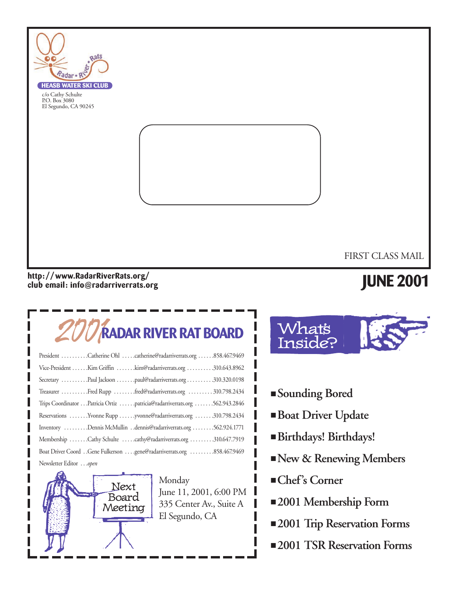

#### **http: //www.RadarRiverRats.org/ club email: info@radarriverrats.org**

### **JUNE 2001**

# 2001**RADAR RIVER RAT BOARD**

| President Catherine Ohl catherine@radarriverrats.org 858.467.9469         |
|---------------------------------------------------------------------------|
| Vice-President Kim Griffin kim@radarriverrats.org 310.643.8962            |
| Secretary Paul Jackson paul@radarriverrats.org 310.320.0198               |
| Treasurer Fred Rupp fred@radarriverrats.org  310.798.2434                 |
| Trips Coordinator Patricia Ortiz patricia@radarriverrats.org 562.943.2846 |
| Reservations  Yvonne Rupp  yvonne@radarriverrats.org  310.798.2434        |
| Inventory Dennis McMullin dennis@radarriverrats.org 562.924.1771          |
| Membership Cathy Schulte cathy@radarriverrats.org 310.647.7919            |
|                                                                           |
| Newsletter Editor open                                                    |



Monday June 11, 2001, 6:00 PM 335 Center Av., Suite A El Segundo, CA



- **Sounding Bored**
- **Boat Driver Update**
- **Birthdays! Birthdays!**
- ■**New & Renewing Members**
- **Chef's Corner**
- **2001 Membership Form**
- **2001 Trip Reservation Forms**
- **2001 TSR Reservation Forms**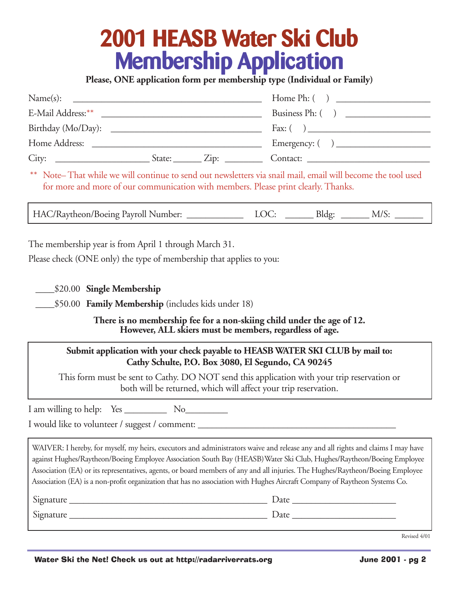# **2001 HEASB Water Ski Club Membership Application**

**Please, ONE application form per membership type (Individual or Family)**

| Name(s):                                                                                                       |                                             |                                                           |
|----------------------------------------------------------------------------------------------------------------|---------------------------------------------|-----------------------------------------------------------|
|                                                                                                                |                                             | Business Ph: ()                                           |
|                                                                                                                |                                             | Fax: $\begin{pmatrix} 0 & 1 \\ 0 & 1 \end{pmatrix}$       |
| Home Address:<br>and the control of the control of the control of the control of the control of the control of |                                             | Emergency: $\begin{pmatrix} 1 & 1 \\ 1 & 1 \end{pmatrix}$ |
| City:                                                                                                          | $\text{State:}$ $\qquad \qquad \text{Zip:}$ | Contact:                                                  |

\* Note– That while we will continue to send out newsletters via snail mail, email will become the tool used for more and more of our communication with members. Please print clearly. Thanks.

HAC/Raytheon/Boeing Payroll Number: <br> LOC: \_\_\_\_\_\_\_\_ Bldg: \_\_\_\_\_\_\_ M/S:

The membership year is from April 1 through March 31.

Please check (ONE only) the type of membership that applies to you:

\_\_\_\_\$20.00 **Single Membership**

\_\_\_\_\$50.00 **Family Membership** (includes kids under 18)

**There is no membership fee for a non-skiing child under the age of 12. However, ALL skiers must be members, regardless of age.**

#### **Submit application with your check payable to HEASB WATER SKI CLUB by mail to: Cathy Schulte, P.O. Box 3080, El Segundo, CA 90245**

This form must be sent to Cathy. DO NOT send this application with your trip reservation or both will be returned, which will affect your trip reservation.

I am willing to help: Yes No

I would like to volunteer / suggest / comment:

WAIVER: I hereby, for myself, my heirs, executors and administrators waive and release any and all rights and claims I may have against Hughes/Raytheon/Boeing Employee Association South Bay (HEASB)Water Ski Club, Hughes/Raytheon/Boeing Employee Association (EA) or its representatives, agents, or board members of any and all injuries. The Hughes/Raytheon/Boeing Employee Association (EA) is a non-profit organization that has no association with Hughes Aircraft Company of Raytheon Systems Co.

| Signature | Date |
|-----------|------|
| Signature | Date |

Revised 4/01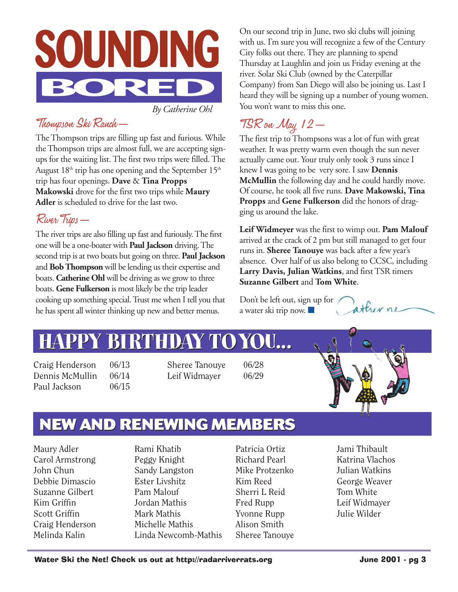

*By Catherine Ohl*

### Thompson Ski Ranch—

The Thompson trips are filling up fast and furious. While the Thompson trips are almost full, we are accepting signups for the waiting list. The first two trips were filled. The August  $18<sup>th</sup>$  trip has one opening and the September  $15<sup>th</sup>$ trip has four openings. **Dave** & **Tina Propps Makowski** drove for the first two trips while **Maury Adler** is scheduled to drive for the last two.

### River Trips—

The river trips are also filling up fast and furiously. The first one will be a one-boater with **Paul Jackson** driving. The second trip is at two boats but going on three. **Paul Jackson** and **Bob Thompson** will be lending us their expertise and boats. **Catherine Ohl** will be driving as we grow to three boats. **Gene Fulkerson** is most likely be the trip leader cooking up something special. Trust me when I tell you that he has spent all winter thinking up new and better menus.

On our second trip in June, two ski clubs will joining with us. I'm sure you will recognize a few of the Century City folks out there. They are planning to spend Thursday at Laughlin and join us Friday evening at the river. Solar Ski Club (owned by the Caterpillar Company) from San Diego will also be joining us. Last I heard they will be signing up a number of young women. You won't want to miss this one.

### TSR on May 12—

The first trip to Thompsons was a lot of fun with great weather. It was pretty warm even though the sun never actually came out. Your truly only took 3 runs since I knew I was going to be very sore. I saw **Dennis McMullin** the following day and he could hardly move. Of course, he took all five runs. **Dave Makowski, Tina Propps** and **Gene Fulkerson** did the honors of dragging us around the lake.

**Leif Widmeyer** was the first to wimp out. **Pam Malouf** arrived at the crack of 2 pm but still managed to get four runs in. **Sheree Tanouye** was back after a few year's absence. Over half of us also belong to CCSC, including **Larry Davis, Julian Watkins**, and first TSR timers **Suzanne Gilbert** and **Tom White**.

Don't be left out, sign up for a water ski trip now. ■

## **HAPPY BIRTHDAY TOYOU... HAPPY BIRTHDAY TOYOU...**

Craig Henderson 06/13 Dennis McMullin 06/14 Paul Jackson 06/15

Sheree Tanouye 06/28 Leif Widmayer 06/29



atherne

### **NEW AND RENEWING MEMBERS NEW AND RENEWING MEMBERS**

Maury Adler Carol Armstrong John Chun Debbie Dimascio Suzanne Gilbert Kim Griffin Scott Griffin Craig Henderson Melinda Kalin

Rami Khatib Peggy Knight Sandy Langston Ester Livshitz Pam Malouf Jordan Mathis Mark Mathis Michelle Mathis Linda Newcomb-Mathis Patricia Ortiz Richard Pearl Mike Protzenko Kim Reed Sherri L Reid Fred Rupp Yvonne Rupp Alison Smith Sheree Tanouye Jami Thibault Katrina Vlachos Julian Watkins George Weaver Tom White Leif Widmayer Julie Wilder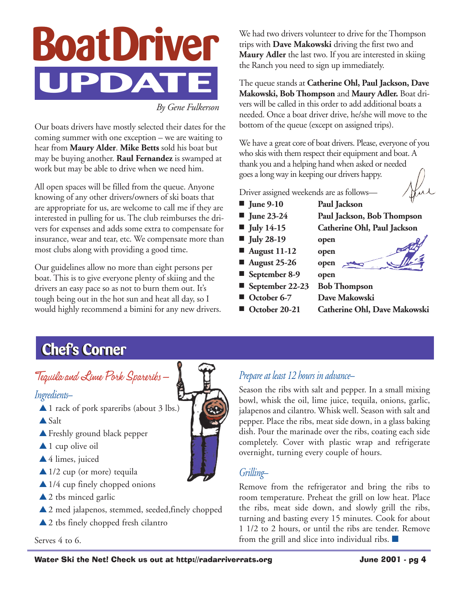

*By Gene Fulkerson*

Our boats drivers have mostly selected their dates for the coming summer with one exception – we are waiting to hear from **Maury Alder**. **Mike Betts** sold his boat but may be buying another. **Raul Fernandez** is swamped at work but may be able to drive when we need him.

All open spaces will be filled from the queue. Anyone knowing of any other drivers/owners of ski boats that are appropriate for us, are welcome to call me if they are interested in pulling for us. The club reimburses the drivers for expenses and adds some extra to compensate for insurance, wear and tear, etc. We compensate more than most clubs along with providing a good time.

Our guidelines allow no more than eight persons per boat. This is to give everyone plenty of skiing and the drivers an easy pace so as not to burn them out. It's tough being out in the hot sun and heat all day, so I would highly recommend a bimini for any new drivers. We had two drivers volunteer to drive for the Thompson trips with **Dave Makowski** driving the first two and **Maury Adler** the last two. If you are interested in skiing the Ranch you need to sign up immediately.

The queue stands at **Catherine Ohl, Paul Jackson, Dave Makowski, Bob Thompson** and **Maury Adler.** Boat drivers will be called in this order to add additional boats a needed. Once a boat driver drive, he/she will move to the bottom of the queue (except on assigned trips).

We have a great core of boat drivers. Please, everyone of you who skis with them respect their equipment and boat. A thank you and a helping hand when asked or needed goes a long way in keeping our drivers happy.

Driver assigned weekends are as follows—

- **June 9-10** Paul Jackson
- **June 23-24** Paul Jackson, Bob Thompson
- **July 14-15** Catherine Ohl, Paul Jackson
- **July 28-19** open
- **August 11-12** open
- **August 25-26** open
- September 8-9 open
- **September 22-23** Bob Thompson
- **October 6-7** Dave Makowski
- **October 20-21** Catherine Ohl, Dave Makowski

### **Chef's Corner Chef's Corner**

Tequila and Lime Pork Spareribs–

#### *Ingredients–*

- ▲ 1 rack of pork spareribs (about 3 lbs.)
- ▲ Salt
- ▲ Freshly ground black pepper
- $\triangle$  1 cup olive oil
- ▲ 4 limes, juiced
- ▲ 1/2 cup (or more) tequila
- ▲ 1/4 cup finely chopped onions
- ▲ 2 tbs minced garlic
- ▲ 2 med jalapenos, stemmed, seeded, finely chopped
- ▲ 2 tbs finely chopped fresh cilantro

Serves 4 to 6.



#### *Prepare at least 12 hours in advance–*

Season the ribs with salt and pepper. In a small mixing bowl, whisk the oil, lime juice, tequila, onions, garlic, jalapenos and cilantro. Whisk well. Season with salt and pepper. Place the ribs, meat side down, in a glass baking dish. Pour the marinade over the ribs, coating each side completely. Cover with plastic wrap and refrigerate overnight, turning every couple of hours.

#### *Grilling–*

Remove from the refrigerator and bring the ribs to room temperature. Preheat the grill on low heat. Place the ribs, meat side down, and slowly grill the ribs, turning and basting every 15 minutes. Cook for about 1 1/2 to 2 hours, or until the ribs are tender. Remove from the grill and slice into individual ribs. ■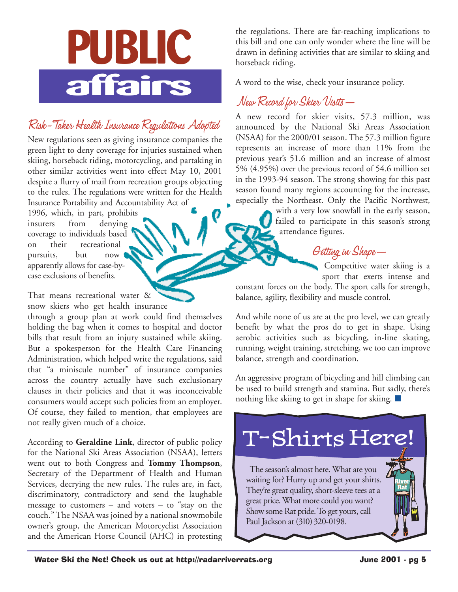# **PUBLIC affairs**

### Risk-Taker Health Insurance Regulations Adopted

New regulations seen as giving insurance companies the green light to deny coverage for injuries sustained when skiing, horseback riding, motorcycling, and partaking in other similar activities went into effect May 10, 2001 despite a flurry of mail from recreation groups objecting to the rules. The regulations were written for the Health Insurance Portability and Accountability Act of

D

1996, which, in part, prohibits<br>insurers from denving insurers from denying coverage to individuals based on their recreational pursuits, but now apparently allows for case-bycase exclusions of benefits.

That means recreational water & snow skiers who get health insurance

through a group plan at work could find themselves holding the bag when it comes to hospital and doctor bills that result from an injury sustained while skiing. But a spokesperson for the Health Care Financing Administration, which helped write the regulations, said that "a miniscule number" of insurance companies across the country actually have such exclusionary clauses in their policies and that it was inconceivable consumers would accept such policies from an employer. Of course, they failed to mention, that employees are not really given much of a choice.

According to **Geraldine Link**, director of public policy for the National Ski Areas Association (NSAA), letters went out to both Congress and **Tommy Thompson**, Secretary of the Department of Health and Human Services, decrying the new rules. The rules are, in fact, discriminatory, contradictory and send the laughable message to customers – and voters – to "stay on the couch." The NSAA was joined by a national snowmobile owner's group, the American Motorcyclist Association and the American Horse Council (AHC) in protesting

the regulations. There are far-reaching implications to this bill and one can only wonder where the line will be drawn in defining activities that are similar to skiing and horseback riding.

A word to the wise, check your insurance policy.

### New Record for Skier Visits—

A new record for skier visits, 57.3 million, was announced by the National Ski Areas Association (NSAA) for the 2000/01 season. The 57.3 million figure represents an increase of more than 11% from the previous year's 51.6 million and an increase of almost 5% (4.95%) over the previous record of 54.6 million set in the 1993-94 season. The strong showing for this past season found many regions accounting for the increase, especially the Northeast. Only the Pacific Northwest,

with a very low snowfall in the early season, failed to participate in this season's strong attendance figures.

### Getting in Shape—

Competitive water skiing is a sport that exerts intense and

constant forces on the body. The sport calls for strength, balance, agility, flexibility and muscle control.

And while none of us are at the pro level, we can greatly benefit by what the pros do to get in shape. Using aerobic activities such as bicycling, in-line skating, running, weight training, stretching, we too can improve balance, strength and coordination.

An aggressive program of bicycling and hill climbing can be used to build strength and stamina. But sadly, there's nothing like skiing to get in shape for skiing. ■

# T-Shirts Here!

The season's almost here. What are you waiting for? Hurry up and get your shirts. They're great quality, short-sleeve tees at a great price. What more could you want? Show some Rat pride. To get yours, call Paul Jackson at (310) 320-0198.

**River Rat**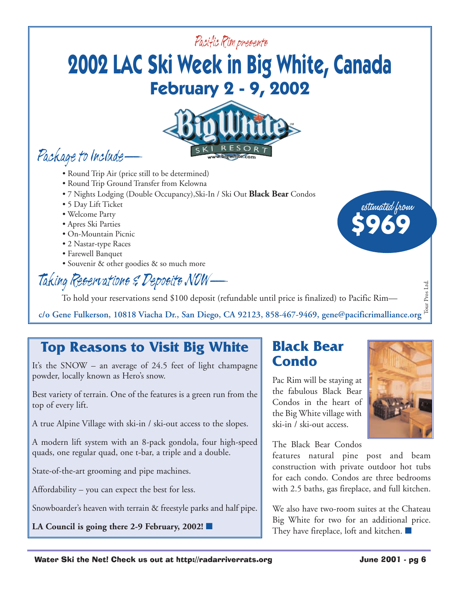### Pacific Rim presents

# **2002 LAC Ski Week in Big White, Canada February 2 - 9, 2002**



Package to Include—

- Round Trip Air (price still to be determined)
- Round Trip Ground Transfer from Kelowna
- 7 Nights Lodging (Double Occupancy),Ski-In / Ski Out **Black Bear** Condos
- 5 Day Lift Ticket
- Welcome Party
- Apres Ski Parties
- On-Mountain Picnic
- 2 Nastar-type Races
- Farewell Banquet
- Souvenir & other goodies & so much more

### Taking Reservations & Deposits NOW—

To hold your reservations send \$100 deposit (refundable until price is finalized) to Pacific Rim—

**c/o Gene Fulkerson, 10818 Viacha Dr., San Diego, CA 92123, 858-467-9469, gene@pacificrimalliance.org** Tour Pros Ltd.

### **Top Reasons to Visit Big White**

It's the SNOW – an average of 24.5 feet of light champagne powder, locally known as Hero's snow.

Best variety of terrain. One of the features is a green run from the top of every lift.

A true Alpine Village with ski-in / ski-out access to the slopes.

A modern lift system with an 8-pack gondola, four high-speed quads, one regular quad, one t-bar, a triple and a double.

State-of-the-art grooming and pipe machines.

Affordability – you can expect the best for less.

Snowboarder's heaven with terrain & freestyle parks and half pipe.

**LA Council is going there 2-9 February, 2002!** ■

### **Black Bear Condo**

Pac Rim will be staying at the fabulous Black Bear Condos in the heart of the Big White village with ski-in / ski-out access.



estimated from

**\$969**

The Black Bear Condos

features natural pine post and beam construction with private outdoor hot tubs for each condo. Condos are three bedrooms with 2.5 baths, gas fireplace, and full kitchen.

We also have two-room suites at the Chateau Big White for two for an additional price. They have fireplace, loft and kitchen. ■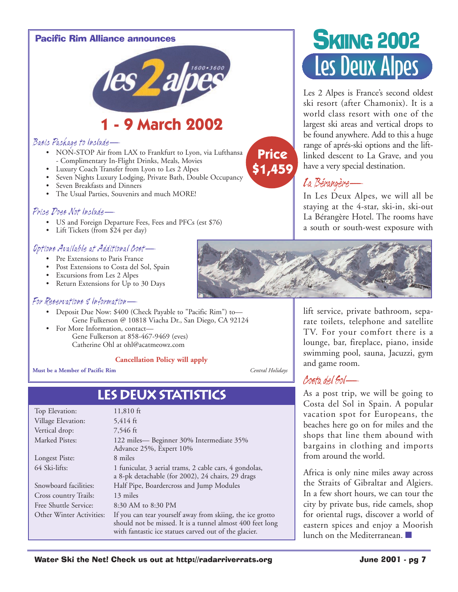#### Pacific Rim Alliance announces



### **1 - 9 March 2002**

#### Basic Package to Include—

- NON-STOP Air from LAX to Frankfurt to Lyon, via Lufthansa - Complimentary In-Flight Drinks, Meals, Movies
- Luxury Coach Transfer from Lyon to Les 2 Alpes
- Seven Nights Luxury Lodging, Private Bath, Double Occupancy
- Seven Breakfasts and Dinners
- The Usual Parties, Souvenirs and much MORE!

#### Price Does Not Include—

- US and Foreign Departure Fees, Fees and PFCs (est \$76)
- Lift Tickets (from \$24 per day)

#### Options Available at Additional Cost—

- Pre Extensions to Paris France
- Post Extensions to Costa del Sol, Spain
- Excursions from Les 2 Alpes
- Return Extensions for Up to 30 Days

#### For Reservations & Information—

- Deposit Due Now: \$400 (Check Payable to "Pacific Rim") to— Gene Fulkerson @ 10818 Viacha Dr., San Diego, CA 92124
- For More Information, contact— Gene Fulkerson at 858-467-9469 (eves) Catherine Ohl at ohl@acatmeowz.com

#### **Cancellation Policy will apply**

**Must be a Member of Pacific Rim** *Central Holidays*

**Price**

**\$1,459**

### **Les Deux Statistics**

| $11,810$ ft                                                                                                                                                                     |
|---------------------------------------------------------------------------------------------------------------------------------------------------------------------------------|
| $5,414$ ft                                                                                                                                                                      |
| 7,546 ft                                                                                                                                                                        |
| 122 miles— Beginner 30% Intermediate 35%<br>Advance 25%, Expert 10%                                                                                                             |
| 8 miles                                                                                                                                                                         |
| 1 funicular, 3 aerial trams, 2 cable cars, 4 gondolas,<br>a 8-pk detachable (for 2002), 24 chairs, 29 drags                                                                     |
| Half Pipe, Boardercross and Jump Modules                                                                                                                                        |
| 13 miles                                                                                                                                                                        |
| 8:30 AM to 8:30 PM                                                                                                                                                              |
| If you can tear yourself away from skiing, the ice grotto<br>should not be missed. It is a tunnel almost 400 feet long<br>with fantastic ice statues carved out of the glacier. |
|                                                                                                                                                                                 |

# **SKIING 2002** Les Deux Alpes

Les 2 Alpes is France's second oldest ski resort (after Chamonix). It is a world class resort with one of the largest ski areas and vertical drops to be found anywhere. Add to this a huge range of aprés-ski options and the liftlinked descent to La Grave, and you have a very special destination.

### La Bérangère—

In Les Deux Alpes, we will all be staying at the 4-star, ski-in, ski-out La Bérangère Hotel. The rooms have a south or south-west exposure with



lift service, private bathroom, separate toilets, telephone and satellite TV. For your comfort there is a lounge, bar, fireplace, piano, inside swimming pool, sauna, Jacuzzi, gym and game room.

#### Costa del Sol—

As a post trip, we will be going to Costa del Sol in Spain. A popular vacation spot for Europeans, the beaches here go on for miles and the shops that line them abound with bargains in clothing and imports from around the world.

Africa is only nine miles away across the Straits of Gibraltar and Algiers. In a few short hours, we can tour the city by private bus, ride camels, shop for oriental rugs, discover a world of eastern spices and enjoy a Moorish lunch on the Mediterranean. ■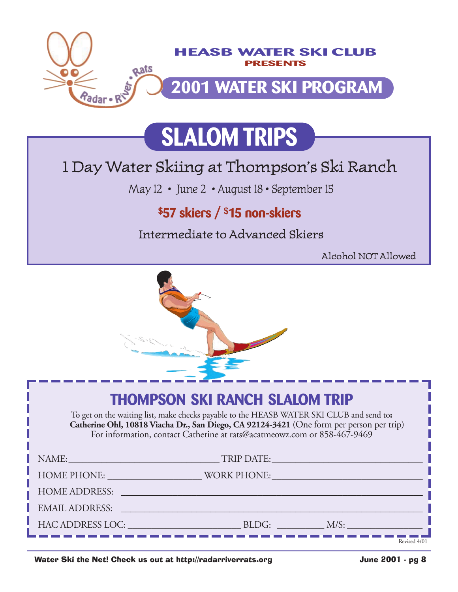

# **SLALOM TRIPS**

### 1 Day Water Skiing at Thompson's Ski Ranch

May 12 • June 2 • August 18 • September 15

### **\$57 skiers / \$15 non-skiers**

Intermediate to Advanced Skiers

Alcohol NOT Allowed



### **THOMPSON SKI RANCH SLALOM TRIP**

To get on the waiting list, make checks payable to the HEASB WATER SKI CLUB and send to**: Catherine Ohl, 10818 Viacha Dr., San Diego, CA 92124-3421** (One form per person per trip) For information, contact Catherine at rats@acatmeowz.com or 858-467-9469

| NAME:                 | TRIP DATE:                                                                                                             |              |
|-----------------------|------------------------------------------------------------------------------------------------------------------------|--------------|
| <b>HOME PHONE:</b>    | <b>WORK PHONE:</b><br><u> 1989 - Johann Barbara, martxa a</u>                                                          |              |
| <b>HOME ADDRESS:</b>  | <u> 1989 - Johann Barn, mars ann an t-Amhainn an t-Amhainn an t-Amhainn an t-Amhainn an t-Amhainn an t-Amhainn an </u> |              |
| <b>EMAIL ADDRESS:</b> |                                                                                                                        |              |
|                       | HAC ADDRESS LOC: NAC ADDRESS LOC:<br>BLDG:                                                                             | M/S:         |
|                       |                                                                                                                        | Revised 4/01 |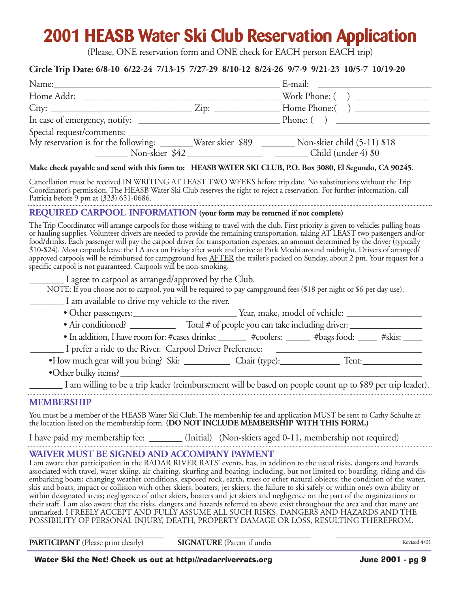### **2001 HEASB Water Ski Club Reservation Application**

(Please, ONE reservation form and ONE check for EACH person EACH trip)

#### **Circle Trip Date: 6/8-10 6/22-24 7/13-15 7/27-29 8/10-12 8/24-26 9/7-9 9/21-23 10/5-7 10/19-20**

|                                                               | E-mail:                                                   |
|---------------------------------------------------------------|-----------------------------------------------------------|
|                                                               |                                                           |
| $City:$ $Zip:$                                                | Home Phone: ()                                            |
|                                                               | Phone: ( )                                                |
|                                                               |                                                           |
| My reservation is for the following: _______ Water skier \$89 | $\sim$ Non-skier child (5-11) \$18<br>Child (under 4) \$0 |
|                                                               | Non-skier \$42                                            |

#### **Make check payable and send with this form to: HEASB WATER SKI CLUB, P.O. Box 3080, El Segundo, CA 90245**.

Cancellation must be received IN WRITING AT LEAST TWO WEEKS before trip date. No substitutions without the Trip Coordinator's permission. The HEASB Water Ski Club reserves the right to reject a reservation. For further information, call Patricia before 9 pm at (323) 651-0686.

#### **REQUIRED CARPOOL INFORMATION (your form may be returned if not complete)**

The Trip Coordinator will arrange carpools for those wishing to travel with the club. First priority is given to vehicles pulling boats or hauling supplies. Volunteer drivers are needed to provide the remaining transportation, taking AT LEAST two passengers and/or food/drinks. Each passenger will pay the carpool driver for transportation expenses, an amount determined by the driver (typically \$10-\$24). Most carpools leave the LA area on Friday after work and arrive at Park Moabi around midnight. Drivers of arranged/ approved carpools will be reimbursed for campground fees AFTER the trailer's packed on Sunday, about 2 pm. Your request for a specific carpool is not guaranteed. Carpools will be non-smoking.

\_\_\_\_\_\_\_ I agree to carpool as arranged/approved by the Club.

NOTE: If you choose not to carpool, you will be required to pay campground fees (\$18 per night or \$6 per day use).

\_\_\_\_\_\_\_ I am available to drive my vehicle to the river.

| • Other passengers: | Year, make, model of vehicle: |
|---------------------|-------------------------------|
|---------------------|-------------------------------|

• Air conditioned? \_\_\_\_\_\_\_\_\_\_\_\_\_\_ Total # of people you can take including driver: \_\_\_\_\_\_\_\_\_\_\_\_\_\_\_\_\_\_\_\_\_\_\_\_\_\_\_

• In addition, I have room for: #cases drinks: \_\_\_\_\_\_ #coolers: \_\_\_\_\_ #bags food: \_\_\_\_ #skis: \_\_\_\_

\_\_\_\_\_\_\_ I prefer a ride to the River. Carpool Driver Preference: \_\_\_\_\_\_\_\_\_\_\_\_\_\_\_\_\_\_\_\_\_\_\_\_\_\_\_\_\_\_\_

•How much gear will you bring? Ski: \_\_\_\_\_\_\_\_\_\_ Chair (type):\_\_\_\_\_\_\_\_\_\_\_\_\_ Tent:\_\_\_\_\_\_\_\_\_\_\_\_\_

•Other bulky items?\_\_\_\_\_\_\_\_\_\_\_\_\_\_\_\_\_\_\_\_\_\_\_\_\_\_\_\_\_\_\_\_\_\_\_\_\_\_\_\_\_\_\_\_\_\_\_\_\_\_\_\_\_\_\_\_\_\_\_\_\_\_\_\_\_\_

\_\_\_\_\_\_\_ I am willing to be a trip leader (reimbursement will be based on people count up to \$89 per trip leader).

#### **MEMBERSHIP**

You must be a member of the HEASB Water Ski Club. The membership fee and application MUST be sent to Cathy Schulte at the location listed on the membership form. **(DO NOT INCLUDE MEMBERSHIP WITH THIS FORM.)**

I have paid my membership fee: \_\_\_\_\_\_\_ (Initial) (Non-skiers aged 0-11, membership not required)

#### **WAIVER MUST BE SIGNED AND ACCOMPANY PAYMENT**

I am aware that participation in the RADAR RIVER RATS' events, has, in addition to the usual risks, dangers and hazards associated with travel, water skiing, air chairing, skurfing and boating, including, but not limited to: boarding, riding and disembarking boats; changing weather conditions, exposed rock, earth, trees or other natural objects; the condition of the water, skis and boats; impact or collision with other skiers, boaters, jet skiers; the failure to ski safely or within one's own ability or within designated areas; negligence of other skiers, boaters and jet skiers and negligence on the part of the organizations or their staff. I am also aware that the risks, dangers and hazards referred to above exist throughout the area and that many are unmarked. I FREELY ACCEPT AND FULLY ASSUME ALL SUCH RISKS, DANGERS AND HAZARDS AND THE POSSIBILITY OF PERSONAL INJURY, DEATH, PROPERTY DAMAGE OR LOSS, RESULTING THEREFROM.

\_\_\_\_\_\_\_\_\_\_\_\_\_\_\_\_\_\_\_\_\_\_\_\_\_\_\_\_\_\_\_\_\_\_ \_\_\_\_\_\_\_\_\_\_\_\_\_\_\_\_\_\_\_\_\_\_\_\_\_\_\_\_\_\_\_\_\_\_ \_\_\_\_\_\_\_\_\_\_\_\_\_\_\_\_\_\_\_\_\_\_\_\_ **PARTICIPANT** (Please print clearly) **SIGNATURE** (Parent if under

Revised 4/01